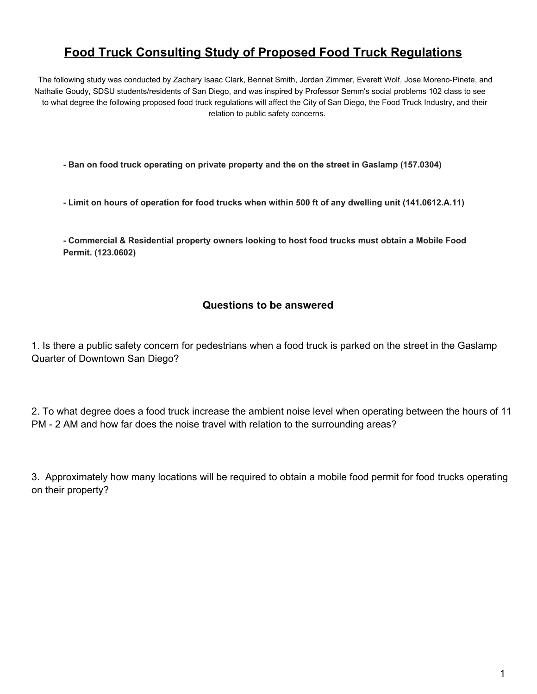# **Food Truck Consulting Study of Proposed Food Truck Regulations**

The following study was conducted by Zachary Isaac Clark, Bennet Smith, Jordan Zimmer, Everett Wolf, Jose Moreno-Pinete, and Nathalie Goudy, SDSU students/residents of San Diego, and was inspired by Professor Semm's social problems 102 class to see to what degree the following proposed food truck regulations will affect the City of San Diego, the Food Truck Industry, and their relation to public safety concerns.

**Ban on food truck operating on private property and the on the street in Gaslamp (157.0304)**

**Limit on hours of operation for food trucks when within 500 ft of any dwelling unit (141.0612.A.11)**

 **Commercial & Residential property owners looking to host food trucks must obtain a Mobile Food Permit. (123.0602)**

#### **Questions to be answered**

1. Is there a public safety concern for pedestrians when a food truck is parked on the street in the Gaslamp Quarter of Downtown San Diego?

2. To what degree does a food truck increase the ambient noise level when operating between the hours of 11 PM - 2 AM and how far does the noise travel with relation to the surrounding areas?

3. Approximately how many locations will be required to obtain a mobile food permit for food trucks operating on their property?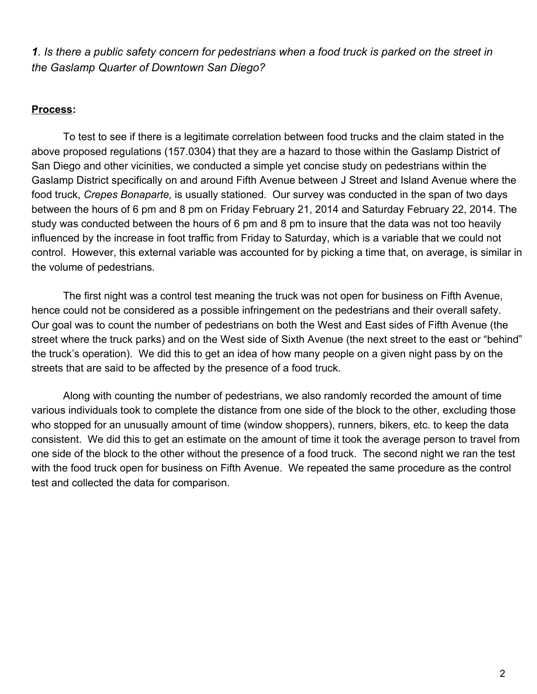1. Is there a public safety concern for pedestrians when a food truck is parked on the street in *the Gaslamp Quarter of Downtown San Diego?*

#### **Process:**

To test to see if there is a legitimate correlation between food trucks and the claim stated in the above proposed regulations (157.0304) that they are a hazard to those within the Gaslamp District of San Diego and other vicinities, we conducted a simple yet concise study on pedestrians within the Gaslamp District specifically on and around Fifth Avenue between J Street and Island Avenue where the food truck, *Crepes Bonaparte,* is usually stationed. Our survey was conducted in the span of two days between the hours of 6 pm and 8 pm on Friday February 21, 2014 and Saturday February 22, 2014. The study was conducted between the hours of 6 pm and 8 pm to insure that the data was not too heavily influenced by the increase in foot traffic from Friday to Saturday, which is a variable that we could not control. However, this external variable was accounted for by picking a time that, on average, is similar in the volume of pedestrians.

The first night was a control test meaning the truck was not open for business on Fifth Avenue, hence could not be considered as a possible infringement on the pedestrians and their overall safety. Our goal was to count the number of pedestrians on both the West and East sides of Fifth Avenue (the street where the truck parks) and on the West side of Sixth Avenue (the next street to the east or "behind" the truck's operation). We did this to get an idea of how many people on a given night pass by on the streets that are said to be affected by the presence of a food truck.

Along with counting the number of pedestrians, we also randomly recorded the amount of time various individuals took to complete the distance from one side of the block to the other, excluding those who stopped for an unusually amount of time (window shoppers), runners, bikers, etc. to keep the data consistent. We did this to get an estimate on the amount of time it took the average person to travel from one side of the block to the other without the presence of a food truck. The second night we ran the test with the food truck open for business on Fifth Avenue. We repeated the same procedure as the control test and collected the data for comparison.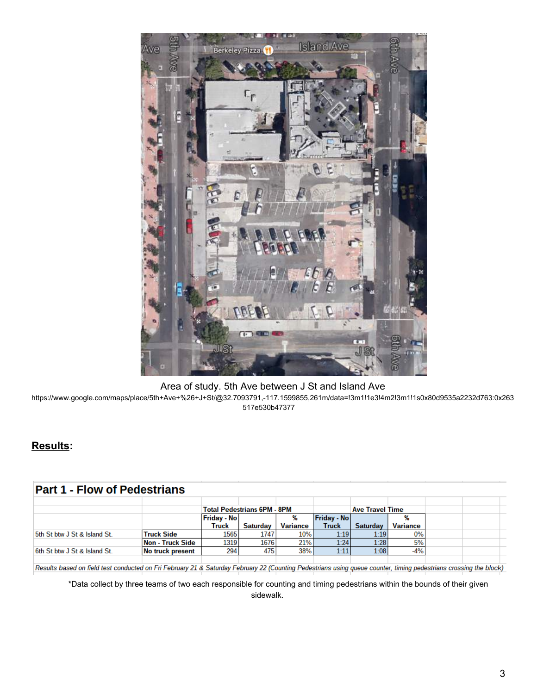

#### Area of study. 5th Ave between J St and Island Ave

https://www.google.com/maps/place/5th+Ave+%26+J+St/@32.7093791,117.1599855,261m/data=!3m1!1e3!4m2!3m1!1s0x80d9535a2232d763:0x263 517e530b47377

#### **Results:**

# **Part 1 - Flow of Pedestrians**

|                              |                   |                    | <b>Total Pedestrians 6PM - 8PM</b> |                 | <b>Ave Travel Time</b> |          |                 |  |  |  |
|------------------------------|-------------------|--------------------|------------------------------------|-----------------|------------------------|----------|-----------------|--|--|--|
|                              |                   | <b>Friday - No</b> |                                    |                 | <b>Friday - No</b>     |          |                 |  |  |  |
|                              |                   | Truck              | <b>Saturday</b>                    | <b>Variance</b> | <b>Truck</b>           | Saturday | <b>Variance</b> |  |  |  |
| 5th St btw J St & Island St. | <b>Truck Side</b> | 1565               | 1747                               | 10%             | 1:19                   | 1:19     | 0%              |  |  |  |
|                              | Non - Truck Side  | 1319               | 1676                               | 21%             | 1:24                   | 1:28     | 5%              |  |  |  |
| 6th St btw J St & Island St. | No truck present  | 294                | 475                                | 38%             | 1:11                   | 1:08     | -4%             |  |  |  |
|                              |                   |                    |                                    |                 |                        |          |                 |  |  |  |

Results based on field test conducted on Fri February 21 & Saturday February 22 (Counting Pedestrians using queue counter, timing pedestrians crossing the block)

\*Data collect by three teams of two each responsible for counting and timing pedestrians within the bounds of their given sidewalk.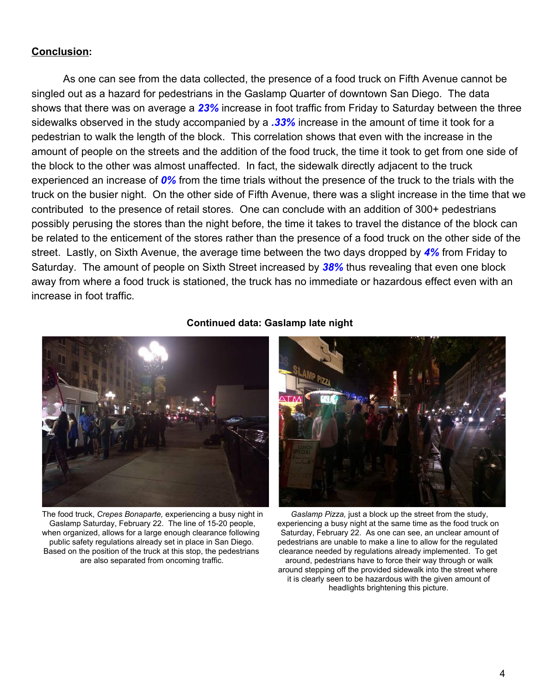#### **Conclusion:**

As one can see from the data collected, the presence of a food truck on Fifth Avenue cannot be singled out as a hazard for pedestrians in the Gaslamp Quarter of downtown San Diego. The data shows that there was on average a *23%* increase in foot traffic from Friday to Saturday between the three sidewalks observed in the study accompanied by a *.33%* increase in the amount of time it took for a pedestrian to walk the length of the block. This correlation shows that even with the increase in the amount of people on the streets and the addition of the food truck, the time it took to get from one side of the block to the other was almost unaffected. In fact, the sidewalk directly adjacent to the truck experienced an increase of *0%* from the time trials without the presence of the truck to the trials with the truck on the busier night. On the other side of Fifth Avenue, there was a slight increase in the time that we contributed to the presence of retail stores. One can conclude with an addition of 300+ pedestrians possibly perusing the stores than the night before, the time it takes to travel the distance of the block can be related to the enticement of the stores rather than the presence of a food truck on the other side of the street. Lastly, on Sixth Avenue, the average time between the two days dropped by *4%* from Friday to Saturday. The amount of people on Sixth Street increased by *38%* thus revealing that even one block away from where a food truck is stationed, the truck has no immediate or hazardous effect even with an increase in foot traffic.



**Continued data: Gaslamp late night**

The food truck, *Crepes Bonaparte,* experiencing a busy night in Gaslamp Saturday, February 22. The line of 1520 people, when organized, allows for a large enough clearance following public safety regulations already set in place in San Diego. Based on the position of the truck at this stop, the pedestrians are also separated from oncoming traffic.



*Gaslamp Pizza,* just a block up the street from the study, experiencing a busy night at the same time as the food truck on Saturday, February 22. As one can see, an unclear amount of pedestrians are unable to make a line to allow for the regulated clearance needed by regulations already implemented. To get around, pedestrians have to force their way through or walk around stepping off the provided sidewalk into the street where it is clearly seen to be hazardous with the given amount of headlights brightening this picture.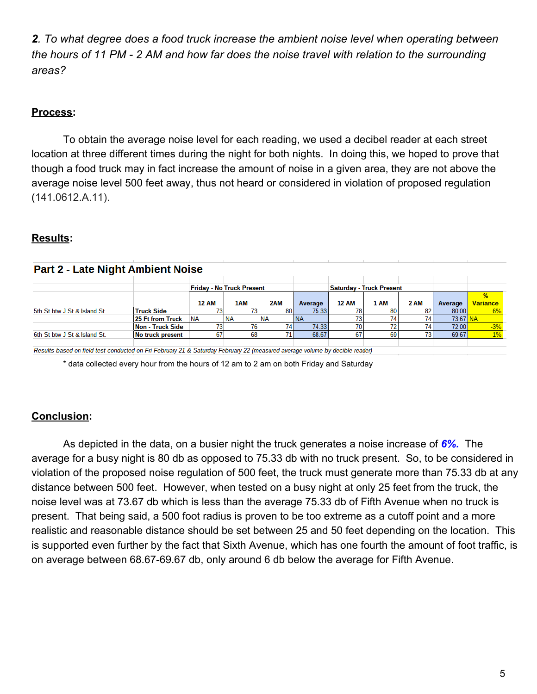*2. To what degree does a food truck increase the ambient noise level when operating between the hours of 11 PM 2 AM and how far does the noise travel with relation to the surrounding areas?*

# **Process:**

To obtain the average noise level for each reading, we used a decibel reader at each street location at three different times during the night for both nights. In doing this, we hoped to prove that though a food truck may in fact increase the amount of noise in a given area, they are not above the average noise level 500 feet away, thus not heard or considered in violation of proposed regulation (141.0612.A.11).

# **Results:**

| <b>Part 2 - Late Night Ambient Noise</b> |                   |              |                                  |           |         |                                 |      |             |         |                 |  |  |
|------------------------------------------|-------------------|--------------|----------------------------------|-----------|---------|---------------------------------|------|-------------|---------|-----------------|--|--|
|                                          |                   |              |                                  |           |         |                                 |      |             |         |                 |  |  |
|                                          |                   |              | <b>Friday - No Truck Present</b> |           |         | <b>Saturday - Truck Present</b> |      |             |         |                 |  |  |
|                                          |                   |              |                                  |           |         |                                 |      |             |         |                 |  |  |
|                                          |                   | <b>12 AM</b> | 1AM                              | 2AM       | Average | <b>12 AM</b>                    | 1 AM | <b>2 AM</b> | Average | <b>Variance</b> |  |  |
| 5th St btw J St & Island St.             | <b>Truck Side</b> |              |                                  | 80        | 75.33   |                                 |      | 82          | 80.00   | 6%              |  |  |
|                                          | 25 Ft from Truck  | <b>NA</b>    | I NA                             | <b>NA</b> | I NA    |                                 |      |             | 73.67   |                 |  |  |
|                                          | Non - Truck Side  |              |                                  |           | 74.33   |                                 |      |             | 72.00   | $-3%$           |  |  |
| 6th St btw J St & Island St.             | No truck present  | 67           | 68                               |           | 68.67   | 67                              | 69   |             | 69.67   | 1%              |  |  |
|                                          |                   |              |                                  |           |         |                                 |      |             |         |                 |  |  |

Results based on field test conducted on Fri February 21 & Saturday February 22 (measured average volume by decible reader)

\* data collected every hour from the hours of 12 am to 2 am on both Friday and Saturday

# **Conclusion:**

As depicted in the data, on a busier night the truck generates a noise increase of *6%.* The average for a busy night is 80 db as opposed to 75.33 db with no truck present. So, to be considered in violation of the proposed noise regulation of 500 feet, the truck must generate more than 75.33 db at any distance between 500 feet. However, when tested on a busy night at only 25 feet from the truck, the noise level was at 73.67 db which is less than the average 75.33 db of Fifth Avenue when no truck is present. That being said, a 500 foot radius is proven to be too extreme as a cutoff point and a more realistic and reasonable distance should be set between 25 and 50 feet depending on the location. This is supported even further by the fact that Sixth Avenue, which has one fourth the amount of foot traffic, is on average between 68.67-69.67 db, only around 6 db below the average for Fifth Avenue.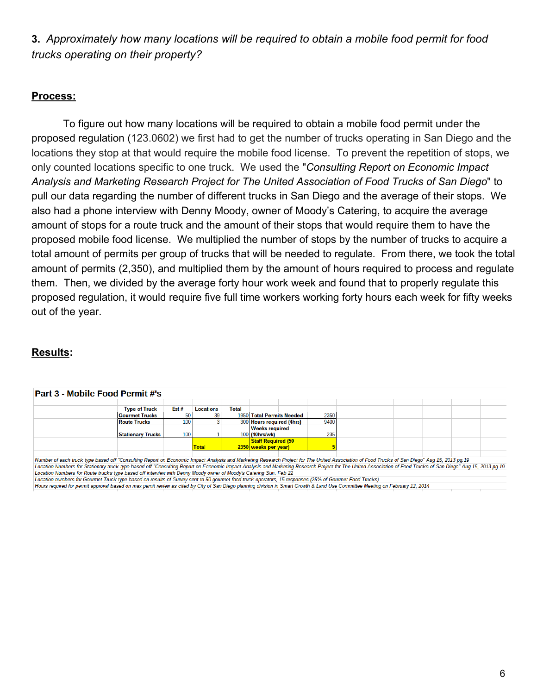**3.** *Approximately how many locations will be required to obtain a mobile food permit for food trucks operating on their property?*

#### **Process:**

To figure out how many locations will be required to obtain a mobile food permit under the proposed regulation (123.0602) we first had to get the number of trucks operating in San Diego and the locations they stop at that would require the mobile food license. To prevent the repetition of stops, we only counted locations specific to one truck. We used the "*Consulting Report on Economic Impact Analysis and Marketing Research Project for The United Association of Food Trucks of San Diego*" to pull our data regarding the number of different trucks in San Diego and the average of their stops. We also had a phone interview with Denny Moody, owner of Moody's Catering, to acquire the average amount of stops for a route truck and the amount of their stops that would require them to have the proposed mobile food license. We multiplied the number of stops by the number of trucks to acquire a total amount of permits per group of trucks that will be needed to regulate. From there, we took the total amount of permits (2,350), and multiplied them by the amount of hours required to process and regulate them. Then, we divided by the average forty hour work week and found that to properly regulate this proposed regulation, it would require five full time workers working forty hours each week for fifty weeks out of the year.

# **Results:**

 $\frac{1}{2}$  and  $\frac{1}{2}$  and  $\frac{1}{2}$  and  $\frac{1}{2}$ 

 $\overline{a}$ 

| "Part 3 - Mobile Food Permit #'s |                          |      |                  |       |                           |      |  |  |  |  |  |  |
|----------------------------------|--------------------------|------|------------------|-------|---------------------------|------|--|--|--|--|--|--|
|                                  |                          |      |                  |       |                           |      |  |  |  |  |  |  |
|                                  | <b>Type of Truck</b>     | Est# | <b>Locations</b> | Total |                           |      |  |  |  |  |  |  |
|                                  | <b>Gourmet Trucks</b>    | 50   |                  |       | 1950 Total Permits Needed | 2350 |  |  |  |  |  |  |
|                                  | <b>Route Trucks</b>      | 100  |                  |       | 300 Hours required (4hrs) | 9400 |  |  |  |  |  |  |
|                                  |                          |      |                  |       | <b>Weeks required</b>     |      |  |  |  |  |  |  |
|                                  | <b>Stationary Trucks</b> | 100  |                  |       | 100 (40hrs/wk)            | 235  |  |  |  |  |  |  |
|                                  |                          |      |                  |       | <b>Staff Required (50</b> |      |  |  |  |  |  |  |
|                                  |                          |      | <b>Total</b>     |       | 2350 weeks per year)      |      |  |  |  |  |  |  |
|                                  |                          |      |                  |       |                           |      |  |  |  |  |  |  |

Number of each truck type based off "Consulting Report on Economic Impact Analysis and Marketing Research Project for The United Association of Food Trucks of San Diego" Aug 15, 2013 pg.19 Location Numbers for Stationary truck type based off "Consulting Report on Economic Impact Analysis and Marketing Research Project for The United Association of Food Trucks of San Diego" Aug 15, 2013 pg.19 Location Numbers for Route trucks type based off interview with Denny Moody owner of Moody's Catering Sun. Feb 22

Location numbers for Gourmet Truck type based on results of Survey sent to 50 gourmet food truck operators, 15 responses (25% of Gourmet Food Trucks)

Hours required for permit approval based on max pemit review as cited by City of San Diego planning division in Smart Growth & Land Use Committee Meeting on February 12, 2014